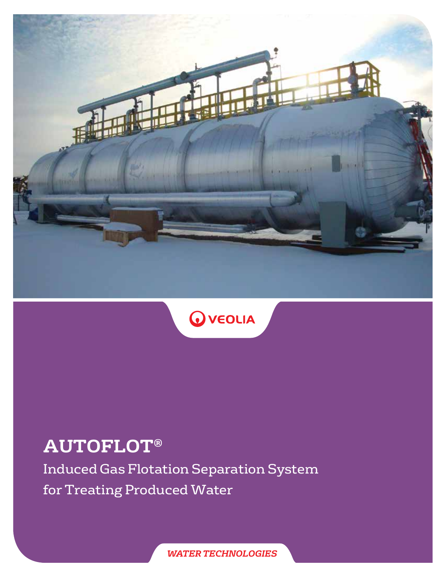



# **AUTOFLOT**®

Induced Gas Flotation Separation System for Treating Produced Water

*WATER TECHNOLOGIES*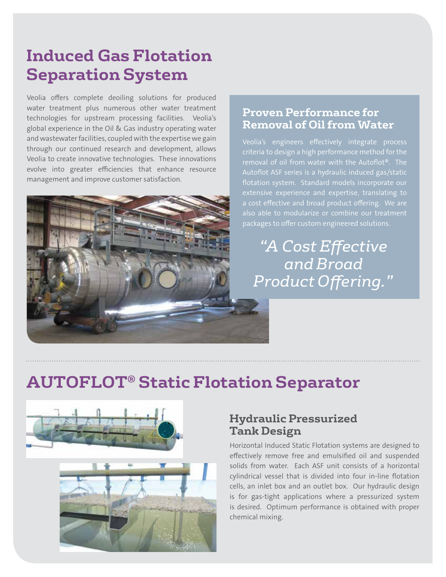## **Induced Gas Flotation Separation System**

Veolia offers complete deoiling solutions for produced water treatment plus numerous other water treatment technologies for upstream processing facilities. Veolia's global experience in the Oil & Gas industry operating water and wastewater facilities, coupled with the expertise we gain through our continued research and development, allows Veolia to create innovative technologies. These innovations evolve into greater efficiencies that enhance resource management and improve customer satisfaction.



#### **Proven Performance for Removal of Oil from Water**

Veolia's engineers effectively integrate process criteria to design a high performance method for the removal of oil from water with the Autoflot®. The flotation system. Standard models incorporate our also able to modularize or combine our treatment packages to offer custom engineered solutions.

*"A Cost Effective and Broad Product Offering."*

## **AUTOFLOT**® **Static Flotation Separator**



#### **Hydraulic Pressurized Tank Design**

Horizontal Induced Static Flotation systems are designed to effectively remove free and emulsified oil and suspended solids from water. Each ASF unit consists of a horizontal cylindrical vessel that is divided into four in-line flotation cells, an inlet box and an outlet box. Our hydraulic design is for gas-tight applications where a pressurized system is desired. Optimum performance is obtained with proper chemical mixing.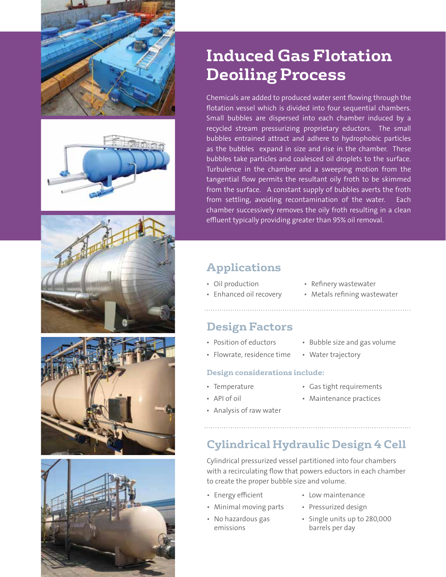









## **Induced Gas Flotation Deoiling Process**

Chemicals are added to produced water sent flowing through the flotation vessel which is divided into four sequential chambers. Small bubbles are dispersed into each chamber induced by a recycled stream pressurizing proprietary eductors. The small bubbles entrained attract and adhere to hydrophobic particles as the bubbles expand in size and rise in the chamber. These bubbles take particles and coalesced oil droplets to the surface. Turbulence in the chamber and a sweeping motion from the tangential flow permits the resultant oily froth to be skimmed from the surface. A constant supply of bubbles averts the froth from settling, avoiding recontamination of the water. Each chamber successively removes the oily froth resulting in a clean effluent typically providing greater than 95% oil removal.

### **Applications**

- Oil production
- Refinery wastewater
- Enhanced oil recovery
- 
- Metals refining wastewater

### **Design Factors**

- Position of eductors
- Bubble size and gas volume • Water trajectory
- Flowrate, residence time

#### **Design considerations include:**

- Temperature
- Gas tight requirements
- API of oil
- Maintenance practices
- 
- Analysis of raw water

### **Cylindrical Hydraulic Design 4 Cell**

Cylindrical pressurized vessel partitioned into four chambers with a recirculating flow that powers eductors in each chamber to create the proper bubble size and volume.

• Energy efficient

• No hazardous gas emissions

- Minimal moving parts
- Low maintenance
	- Pressurized design
	- Single units up to 280,000 barrels per day